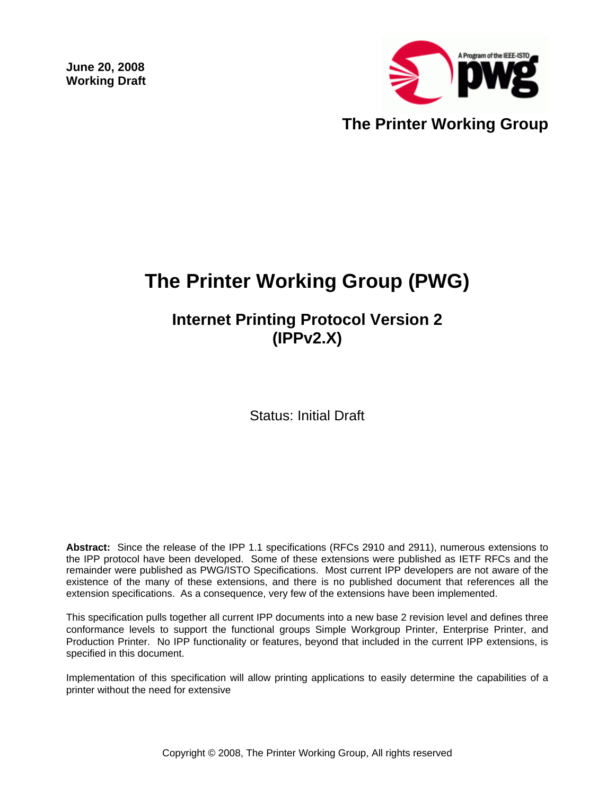**June 20, 2008 Working Draft** 



# **The Printer Working Group (PWG)**

# **Internet Printing Protocol Version 2 (IPPv2.X)**

Status: Initial Draft

**Abstract:** Since the release of the IPP 1.1 specifications (RFCs 2910 and 2911), numerous extensions to the IPP protocol have been developed. Some of these extensions were published as IETF RFCs and the remainder were published as PWG/ISTO Specifications. Most current IPP developers are not aware of the existence of the many of these extensions, and there is no published document that references all the extension specifications. As a consequence, very few of the extensions have been implemented.

This specification pulls together all current IPP documents into a new base 2 revision level and defines three conformance levels to support the functional groups Simple Workgroup Printer, Enterprise Printer, and Production Printer. No IPP functionality or features, beyond that included in the current IPP extensions, is specified in this document.

Implementation of this specification will allow printing applications to easily determine the capabilities of a printer without the need for extensive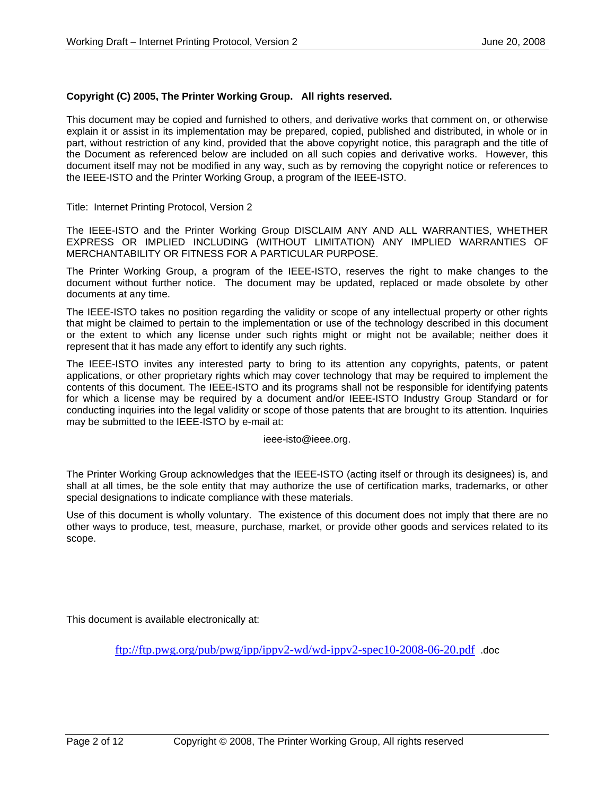#### **Copyright (C) 2005, The Printer Working Group. All rights reserved.**

This document may be copied and furnished to others, and derivative works that comment on, or otherwise explain it or assist in its implementation may be prepared, copied, published and distributed, in whole or in part, without restriction of any kind, provided that the above copyright notice, this paragraph and the title of the Document as referenced below are included on all such copies and derivative works. However, this document itself may not be modified in any way, such as by removing the copyright notice or references to the IEEE-ISTO and the Printer Working Group, a program of the IEEE-ISTO.

Title: Internet Printing Protocol, Version 2

The IEEE-ISTO and the Printer Working Group DISCLAIM ANY AND ALL WARRANTIES, WHETHER EXPRESS OR IMPLIED INCLUDING (WITHOUT LIMITATION) ANY IMPLIED WARRANTIES OF MERCHANTABILITY OR FITNESS FOR A PARTICULAR PURPOSE.

The Printer Working Group, a program of the IEEE-ISTO, reserves the right to make changes to the document without further notice. The document may be updated, replaced or made obsolete by other documents at any time.

The IEEE-ISTO takes no position regarding the validity or scope of any intellectual property or other rights that might be claimed to pertain to the implementation or use of the technology described in this document or the extent to which any license under such rights might or might not be available; neither does it represent that it has made any effort to identify any such rights.

The IEEE-ISTO invites any interested party to bring to its attention any copyrights, patents, or patent applications, or other proprietary rights which may cover technology that may be required to implement the contents of this document. The IEEE-ISTO and its programs shall not be responsible for identifying patents for which a license may be required by a document and/or IEEE-ISTO Industry Group Standard or for conducting inquiries into the legal validity or scope of those patents that are brought to its attention. Inquiries may be submitted to the IEEE-ISTO by e-mail at:

ieee-isto@ieee.org.

The Printer Working Group acknowledges that the IEEE-ISTO (acting itself or through its designees) is, and shall at all times, be the sole entity that may authorize the use of certification marks, trademarks, or other special designations to indicate compliance with these materials.

Use of this document is wholly voluntary. The existence of this document does not imply that there are no other ways to produce, test, measure, purchase, market, or provide other goods and services related to its scope.

This document is available electronically at:

ftp://ftp.pwg.org/pub/pwg/ipp/ippv2-wd/wd-ippv2-spec10-2008-06-20.pdf .doc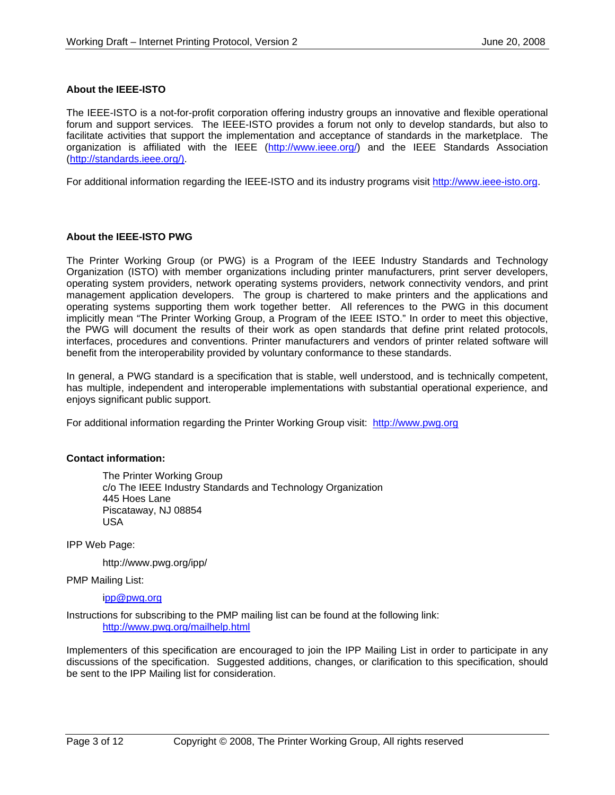#### **About the IEEE-ISTO**

The IEEE-ISTO is a not-for-profit corporation offering industry groups an innovative and flexible operational forum and support services. The IEEE-ISTO provides a forum not only to develop standards, but also to facilitate activities that support the implementation and acceptance of standards in the marketplace. The organization is affiliated with the IEEE (http://www.ieee.org/) and the IEEE Standards Association (http://standards.ieee.org/).

For additional information regarding the IEEE-ISTO and its industry programs visit http://www.ieee-isto.org.

#### **About the IEEE-ISTO PWG**

The Printer Working Group (or PWG) is a Program of the IEEE Industry Standards and Technology Organization (ISTO) with member organizations including printer manufacturers, print server developers, operating system providers, network operating systems providers, network connectivity vendors, and print management application developers. The group is chartered to make printers and the applications and operating systems supporting them work together better. All references to the PWG in this document implicitly mean "The Printer Working Group, a Program of the IEEE ISTO." In order to meet this objective, the PWG will document the results of their work as open standards that define print related protocols, interfaces, procedures and conventions. Printer manufacturers and vendors of printer related software will benefit from the interoperability provided by voluntary conformance to these standards.

In general, a PWG standard is a specification that is stable, well understood, and is technically competent, has multiple, independent and interoperable implementations with substantial operational experience, and enjoys significant public support.

For additional information regarding the Printer Working Group visit: http://www.pwg.org

#### **Contact information:**

The Printer Working Group c/o The IEEE Industry Standards and Technology Organization 445 Hoes Lane Piscataway, NJ 08854 USA

IPP Web Page:

http://www.pwg.org/ipp/

PMP Mailing List:

#### ipp@pwg.org

Instructions for subscribing to the PMP mailing list can be found at the following link: http://www.pwg.org/mailhelp.html

Implementers of this specification are encouraged to join the IPP Mailing List in order to participate in any discussions of the specification. Suggested additions, changes, or clarification to this specification, should be sent to the IPP Mailing list for consideration.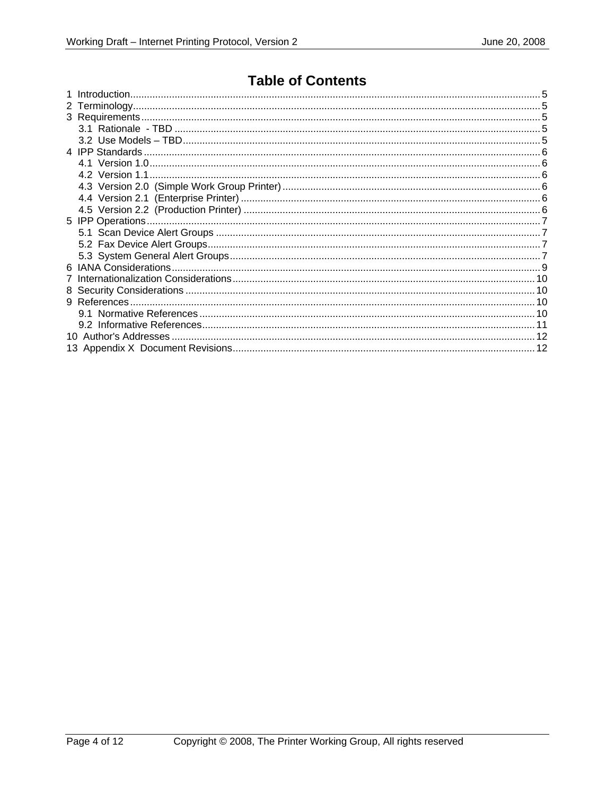### **Table of Contents**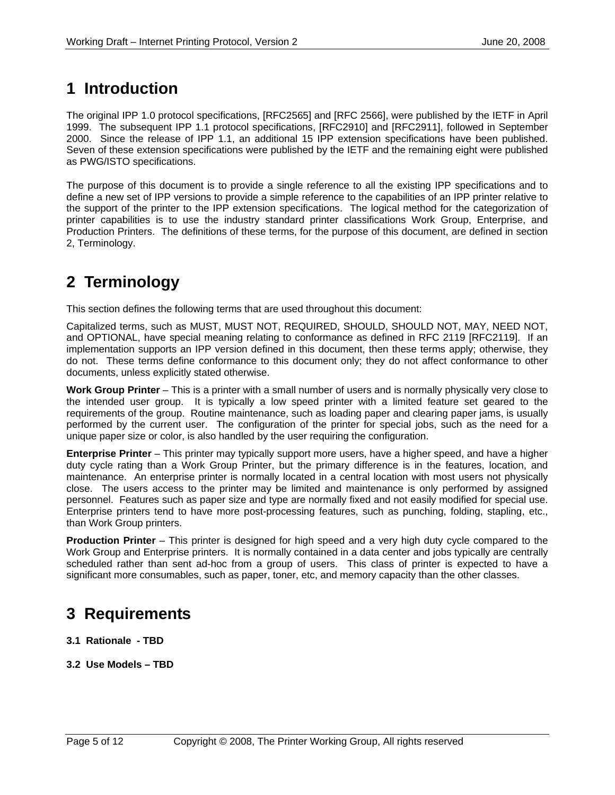# **1 Introduction**

The original IPP 1.0 protocol specifications, [RFC2565] and [RFC 2566], were published by the IETF in April 1999. The subsequent IPP 1.1 protocol specifications, [RFC2910] and [RFC2911], followed in September 2000. Since the release of IPP 1.1, an additional 15 IPP extension specifications have been published. Seven of these extension specifications were published by the IETF and the remaining eight were published as PWG/ISTO specifications.

The purpose of this document is to provide a single reference to all the existing IPP specifications and to define a new set of IPP versions to provide a simple reference to the capabilities of an IPP printer relative to the support of the printer to the IPP extension specifications. The logical method for the categorization of printer capabilities is to use the industry standard printer classifications Work Group, Enterprise, and Production Printers. The definitions of these terms, for the purpose of this document, are defined in section 2, Terminology.

# **2 Terminology**

This section defines the following terms that are used throughout this document:

Capitalized terms, such as MUST, MUST NOT, REQUIRED, SHOULD, SHOULD NOT, MAY, NEED NOT, and OPTIONAL, have special meaning relating to conformance as defined in RFC 2119 [RFC2119]. If an implementation supports an IPP version defined in this document, then these terms apply; otherwise, they do not. These terms define conformance to this document only; they do not affect conformance to other documents, unless explicitly stated otherwise.

**Work Group Printer** – This is a printer with a small number of users and is normally physically very close to the intended user group. It is typically a low speed printer with a limited feature set geared to the requirements of the group. Routine maintenance, such as loading paper and clearing paper jams, is usually performed by the current user. The configuration of the printer for special jobs, such as the need for a unique paper size or color, is also handled by the user requiring the configuration.

**Enterprise Printer** – This printer may typically support more users, have a higher speed, and have a higher duty cycle rating than a Work Group Printer, but the primary difference is in the features, location, and maintenance. An enterprise printer is normally located in a central location with most users not physically close. The users access to the printer may be limited and maintenance is only performed by assigned personnel. Features such as paper size and type are normally fixed and not easily modified for special use. Enterprise printers tend to have more post-processing features, such as punching, folding, stapling, etc., than Work Group printers.

**Production Printer** – This printer is designed for high speed and a very high duty cycle compared to the Work Group and Enterprise printers. It is normally contained in a data center and jobs typically are centrally scheduled rather than sent ad-hoc from a group of users. This class of printer is expected to have a significant more consumables, such as paper, toner, etc, and memory capacity than the other classes.

# **3 Requirements**

- **3.1 Rationale TBD**
- **3.2 Use Models TBD**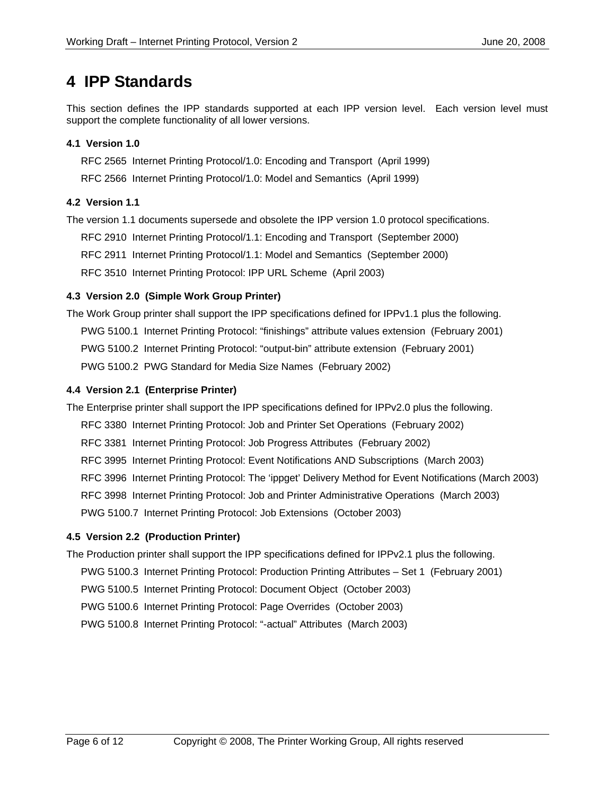### **4 IPP Standards**

This section defines the IPP standards supported at each IPP version level. Each version level must support the complete functionality of all lower versions.

### **4.1 Version 1.0**

RFC 2565 Internet Printing Protocol/1.0: Encoding and Transport (April 1999)

RFC 2566 Internet Printing Protocol/1.0: Model and Semantics (April 1999)

### **4.2 Version 1.1**

The version 1.1 documents supersede and obsolete the IPP version 1.0 protocol specifications.

RFC 2910 Internet Printing Protocol/1.1: Encoding and Transport (September 2000)

RFC 2911 Internet Printing Protocol/1.1: Model and Semantics (September 2000)

RFC 3510 Internet Printing Protocol: IPP URL Scheme (April 2003)

### **4.3 Version 2.0 (Simple Work Group Printer)**

The Work Group printer shall support the IPP specifications defined for IPPv1.1 plus the following. PWG 5100.1 Internet Printing Protocol: "finishings" attribute values extension (February 2001) PWG 5100.2 Internet Printing Protocol: "output-bin" attribute extension (February 2001) PWG 5100.2 PWG Standard for Media Size Names (February 2002)

### **4.4 Version 2.1 (Enterprise Printer)**

The Enterprise printer shall support the IPP specifications defined for IPPv2.0 plus the following.

- RFC 3380 Internet Printing Protocol: Job and Printer Set Operations (February 2002)
- RFC 3381 Internet Printing Protocol: Job Progress Attributes (February 2002)
- RFC 3995 Internet Printing Protocol: Event Notifications AND Subscriptions (March 2003)
- RFC 3996 Internet Printing Protocol: The 'ippget' Delivery Method for Event Notifications (March 2003)
- RFC 3998 Internet Printing Protocol: Job and Printer Administrative Operations (March 2003)

PWG 5100.7 Internet Printing Protocol: Job Extensions (October 2003)

### **4.5 Version 2.2 (Production Printer)**

The Production printer shall support the IPP specifications defined for IPPv2.1 plus the following.

PWG 5100.3 Internet Printing Protocol: Production Printing Attributes – Set 1 (February 2001)

PWG 5100.5 Internet Printing Protocol: Document Object (October 2003)

PWG 5100.6 Internet Printing Protocol: Page Overrides (October 2003)

PWG 5100.8 Internet Printing Protocol: "-actual" Attributes (March 2003)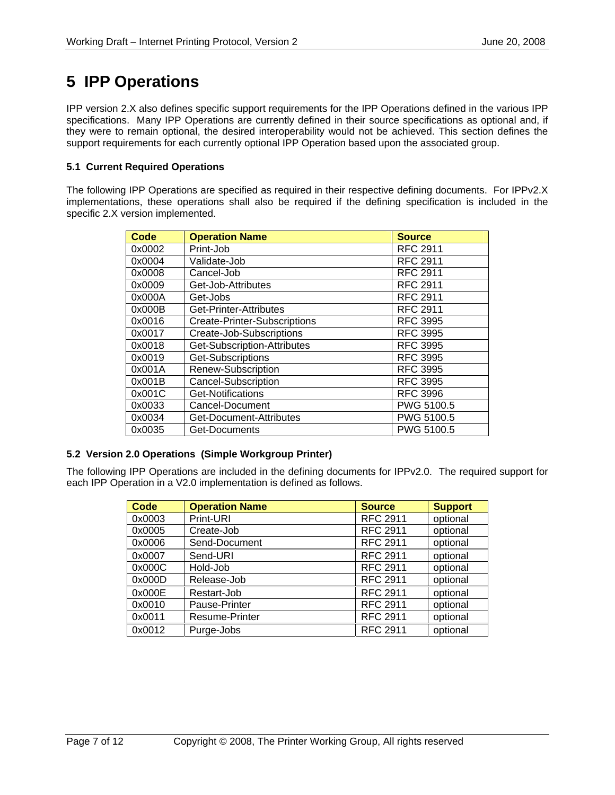# **5 IPP Operations**

IPP version 2.X also defines specific support requirements for the IPP Operations defined in the various IPP specifications. Many IPP Operations are currently defined in their source specifications as optional and, if they were to remain optional, the desired interoperability would not be achieved. This section defines the support requirements for each currently optional IPP Operation based upon the associated group.

### **5.1 Current Required Operations**

The following IPP Operations are specified as required in their respective defining documents. For IPPv2.X implementations, these operations shall also be required if the defining specification is included in the specific 2.X version implemented.

| <b>Code</b> | <b>Operation Name</b>               | <b>Source</b>   |
|-------------|-------------------------------------|-----------------|
| 0x0002      | Print-Job                           | <b>RFC 2911</b> |
| 0x0004      | Validate-Job                        | <b>RFC 2911</b> |
| 0x0008      | Cancel-Job                          | <b>RFC 2911</b> |
| 0x0009      | Get-Job-Attributes                  | <b>RFC 2911</b> |
| 0x000A      | Get-Jobs                            | <b>RFC 2911</b> |
| 0x000B      | Get-Printer-Attributes              | <b>RFC 2911</b> |
| 0x0016      | <b>Create-Printer-Subscriptions</b> | <b>RFC 3995</b> |
| 0x0017      | Create-Job-Subscriptions            | <b>RFC 3995</b> |
| 0x0018      | Get-Subscription-Attributes         | <b>RFC 3995</b> |
| 0x0019      | Get-Subscriptions                   | <b>RFC 3995</b> |
| 0x001A      | Renew-Subscription                  | <b>RFC 3995</b> |
| 0x001B      | <b>Cancel-Subscription</b>          | <b>RFC 3995</b> |
| 0x001C      | Get-Notifications                   | <b>RFC 3996</b> |
| 0x0033      | Cancel-Document                     | PWG 5100.5      |
| 0x0034      | Get-Document-Attributes             | PWG 5100.5      |
| 0x0035      | Get-Documents                       | PWG 5100.5      |

#### **5.2 Version 2.0 Operations (Simple Workgroup Printer)**

The following IPP Operations are included in the defining documents for IPPv2.0. The required support for each IPP Operation in a V2.0 implementation is defined as follows.

| <b>Code</b> | <b>Operation Name</b> | <b>Source</b>   | <b>Support</b> |
|-------------|-----------------------|-----------------|----------------|
| 0x0003      | Print-URI             | <b>RFC 2911</b> | optional       |
| 0x0005      | Create-Job            | <b>RFC 2911</b> | optional       |
| 0x0006      | Send-Document         | <b>RFC 2911</b> | optional       |
| 0x0007      | Send-URI              | <b>RFC 2911</b> | optional       |
| 0x000C      | Hold-Job              | <b>RFC 2911</b> | optional       |
| 0x000D      | Release-Job           | <b>RFC 2911</b> | optional       |
| 0x000E      | Restart-Job           | <b>RFC 2911</b> | optional       |
| 0x0010      | Pause-Printer         | <b>RFC 2911</b> | optional       |
| 0x0011      | <b>Resume-Printer</b> | <b>RFC 2911</b> | optional       |
| 0x0012      | Purge-Jobs            | <b>RFC 2911</b> | optional       |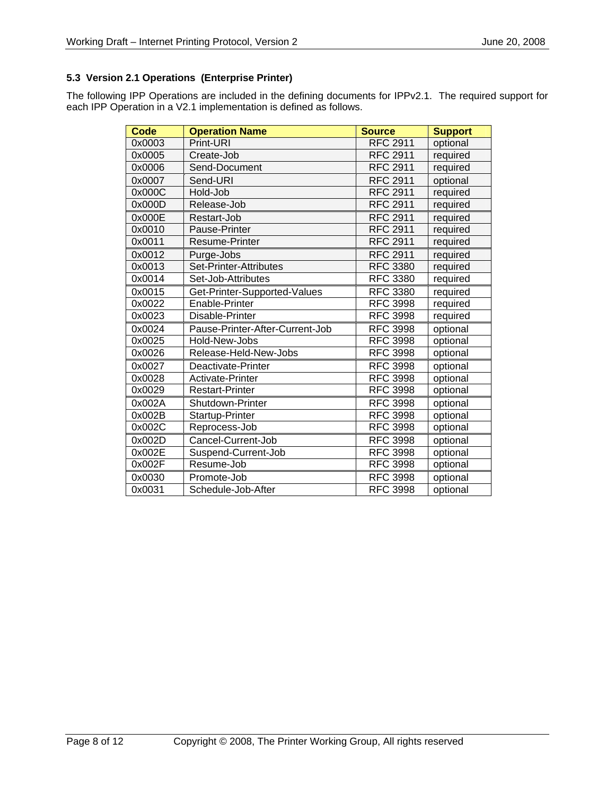### **5.3 Version 2.1 Operations (Enterprise Printer)**

The following IPP Operations are included in the defining documents for IPPv2.1. The required support for each IPP Operation in a V2.1 implementation is defined as follows.

| Code   | <b>Operation Name</b>           | <b>Source</b>   | <b>Support</b> |
|--------|---------------------------------|-----------------|----------------|
| 0x0003 | Print-URI                       | <b>RFC 2911</b> | optional       |
| 0x0005 | Create-Job                      | <b>RFC 2911</b> | required       |
| 0x0006 | Send-Document                   | <b>RFC 2911</b> | required       |
| 0x0007 | Send-URI                        | <b>RFC 2911</b> | optional       |
| 0x000C | Hold-Job                        | <b>RFC 2911</b> | required       |
| 0x000D | Release-Job                     | <b>RFC 2911</b> | required       |
| 0x000E | Restart-Job                     | <b>RFC 2911</b> | required       |
| 0x0010 | Pause-Printer                   | <b>RFC 2911</b> | required       |
| 0x0011 | Resume-Printer                  | <b>RFC 2911</b> | required       |
| 0x0012 | Purge-Jobs                      | <b>RFC 2911</b> | required       |
| 0x0013 | Set-Printer-Attributes          | <b>RFC 3380</b> | required       |
| 0x0014 | Set-Job-Attributes              | <b>RFC 3380</b> | required       |
| 0x0015 | Get-Printer-Supported-Values    | <b>RFC 3380</b> | required       |
| 0x0022 | Enable-Printer                  | <b>RFC 3998</b> | required       |
| 0x0023 | Disable-Printer                 | <b>RFC 3998</b> | required       |
| 0x0024 | Pause-Printer-After-Current-Job | <b>RFC 3998</b> | optional       |
| 0x0025 | Hold-New-Jobs                   | <b>RFC 3998</b> | optional       |
| 0x0026 | Release-Held-New-Jobs           | <b>RFC 3998</b> | optional       |
| 0x0027 | Deactivate-Printer              | <b>RFC 3998</b> | optional       |
| 0x0028 | Activate-Printer                | <b>RFC 3998</b> | optional       |
| 0x0029 | <b>Restart-Printer</b>          | <b>RFC 3998</b> | optional       |
| 0x002A | Shutdown-Printer                | <b>RFC 3998</b> | optional       |
| 0x002B | Startup-Printer                 | <b>RFC 3998</b> | optional       |
| 0x002C | Reprocess-Job                   | <b>RFC 3998</b> | optional       |
| 0x002D | Cancel-Current-Job              | <b>RFC 3998</b> | optional       |
| 0x002E | Suspend-Current-Job             | <b>RFC 3998</b> | optional       |
| 0x002F | Resume-Job                      | <b>RFC 3998</b> | optional       |
| 0x0030 | Promote-Job                     | <b>RFC 3998</b> | optional       |
| 0x0031 | Schedule-Job-After              | <b>RFC 3998</b> | optional       |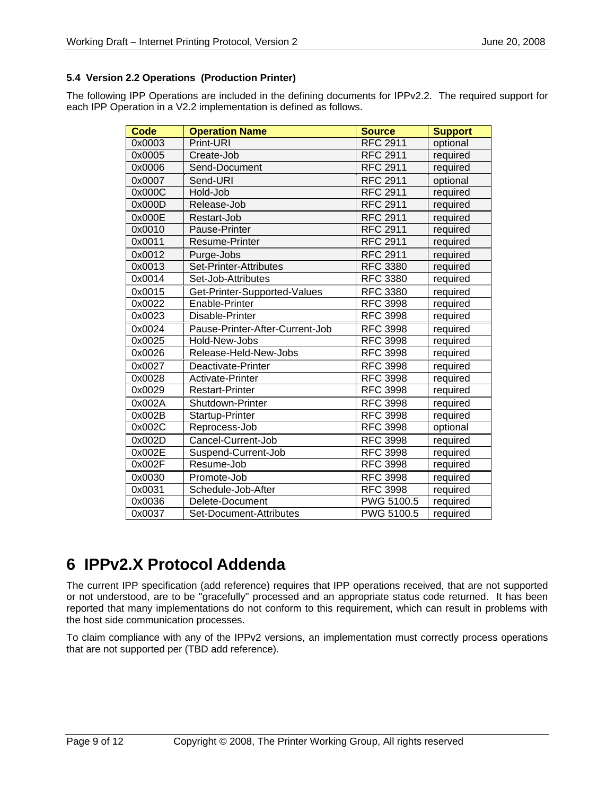### **5.4 Version 2.2 Operations (Production Printer)**

The following IPP Operations are included in the defining documents for IPPv2.2. The required support for each IPP Operation in a V2.2 implementation is defined as follows.

| Code   | <b>Operation Name</b>           | <b>Source</b>   | <b>Support</b> |
|--------|---------------------------------|-----------------|----------------|
| 0x0003 | Print-URI                       | <b>RFC 2911</b> | optional       |
| 0x0005 | Create-Job                      | <b>RFC 2911</b> | required       |
| 0x0006 | Send-Document                   | <b>RFC 2911</b> | required       |
| 0x0007 | Send-URI                        | <b>RFC 2911</b> | optional       |
| 0x000C | Hold-Job                        | <b>RFC 2911</b> | required       |
| 0x000D | Release-Job                     | RFC 2911        | required       |
| 0x000E | Restart-Job                     | <b>RFC 2911</b> | required       |
| 0x0010 | <b>Pause-Printer</b>            | <b>RFC 2911</b> | required       |
| 0x0011 | Resume-Printer                  | <b>RFC 2911</b> | required       |
| 0x0012 | Purge-Jobs                      | <b>RFC 2911</b> | required       |
| 0x0013 | Set-Printer-Attributes          | <b>RFC 3380</b> | required       |
| 0x0014 | Set-Job-Attributes              | <b>RFC 3380</b> | required       |
| 0x0015 | Get-Printer-Supported-Values    | <b>RFC 3380</b> | required       |
| 0x0022 | Enable-Printer                  | <b>RFC 3998</b> | required       |
| 0x0023 | Disable-Printer                 | <b>RFC 3998</b> | required       |
| 0x0024 | Pause-Printer-After-Current-Job | <b>RFC 3998</b> | required       |
| 0x0025 | Hold-New-Jobs                   | <b>RFC 3998</b> | required       |
| 0x0026 | Release-Held-New-Jobs           | <b>RFC 3998</b> | required       |
| 0x0027 | Deactivate-Printer              | <b>RFC 3998</b> | required       |
| 0x0028 | Activate-Printer                | <b>RFC 3998</b> | required       |
| 0x0029 | <b>Restart-Printer</b>          | <b>RFC 3998</b> | required       |
| 0x002A | <b>Shutdown-Printer</b>         | <b>RFC 3998</b> | required       |
| 0x002B | Startup-Printer                 | <b>RFC 3998</b> | required       |
| 0x002C | Reprocess-Job                   | <b>RFC 3998</b> | optional       |
| 0x002D | Cancel-Current-Job              | <b>RFC 3998</b> | required       |
| 0x002E | Suspend-Current-Job             | <b>RFC 3998</b> | required       |
| 0x002F | Resume-Job                      | <b>RFC 3998</b> | required       |
| 0x0030 | Promote-Job                     | <b>RFC 3998</b> | required       |
| 0x0031 | Schedule-Job-After              | <b>RFC 3998</b> | required       |
| 0x0036 | Delete-Document                 | PWG 5100.5      | required       |
| 0x0037 | Set-Document-Attributes         | PWG 5100.5      | required       |

# **6 IPPv2.X Protocol Addenda**

The current IPP specification (add reference) requires that IPP operations received, that are not supported or not understood, are to be "gracefully" processed and an appropriate status code returned. It has been reported that many implementations do not conform to this requirement, which can result in problems with the host side communication processes.

To claim compliance with any of the IPPv2 versions, an implementation must correctly process operations that are not supported per (TBD add reference).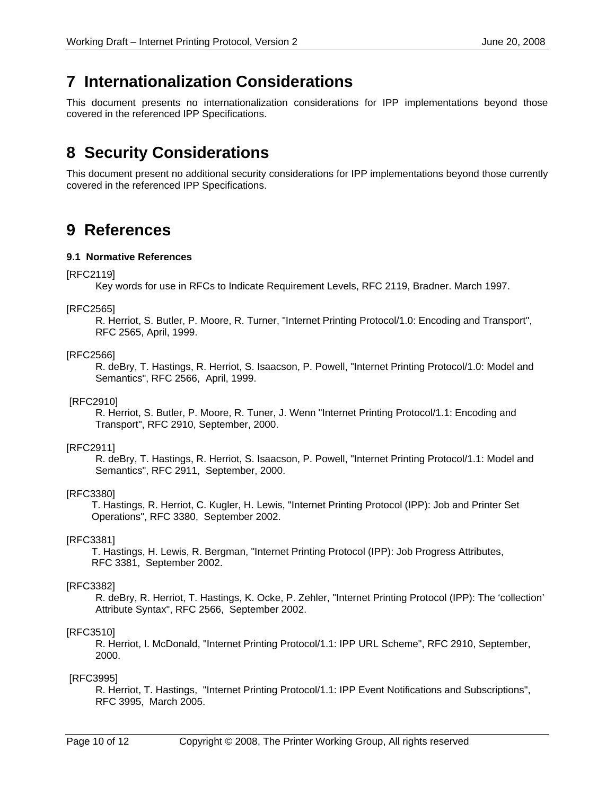### **7 Internationalization Considerations**

This document presents no internationalization considerations for IPP implementations beyond those covered in the referenced IPP Specifications.

# **8 Security Considerations**

This document present no additional security considerations for IPP implementations beyond those currently covered in the referenced IPP Specifications.

### **9 References**

#### **9.1 Normative References**

#### [RFC2119]

Key words for use in RFCs to Indicate Requirement Levels, RFC 2119, Bradner. March 1997.

#### [RFC2565]

R. Herriot, S. Butler, P. Moore, R. Turner, "Internet Printing Protocol/1.0: Encoding and Transport", RFC 2565, April, 1999.

#### [RFC2566]

R. deBry, T. Hastings, R. Herriot, S. Isaacson, P. Powell, "Internet Printing Protocol/1.0: Model and Semantics", RFC 2566, April, 1999.

#### [RFC2910]

R. Herriot, S. Butler, P. Moore, R. Tuner, J. Wenn "Internet Printing Protocol/1.1: Encoding and Transport", RFC 2910, September, 2000.

#### [RFC2911]

R. deBry, T. Hastings, R. Herriot, S. Isaacson, P. Powell, "Internet Printing Protocol/1.1: Model and Semantics", RFC 2911, September, 2000.

#### [RFC3380]

 T. Hastings, R. Herriot, C. Kugler, H. Lewis, "Internet Printing Protocol (IPP): Job and Printer Set Operations", RFC 3380, September 2002.

#### [RFC3381]

 T. Hastings, H. Lewis, R. Bergman, "Internet Printing Protocol (IPP): Job Progress Attributes, RFC 3381, September 2002.

#### [RFC3382]

R. deBry, R. Herriot, T. Hastings, K. Ocke, P. Zehler, "Internet Printing Protocol (IPP): The 'collection' Attribute Syntax", RFC 2566, September 2002.

#### [RFC3510]

R. Herriot, I. McDonald, "Internet Printing Protocol/1.1: IPP URL Scheme", RFC 2910, September, 2000.

#### [RFC3995]

R. Herriot, T. Hastings, "Internet Printing Protocol/1.1: IPP Event Notifications and Subscriptions", RFC 3995, March 2005.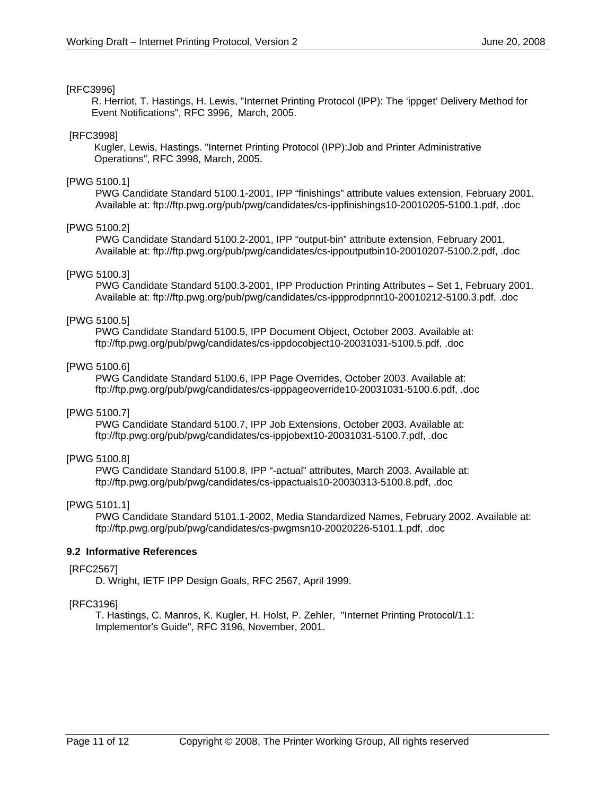#### [RFC3996]

 R. Herriot, T. Hastings, H. Lewis, "Internet Printing Protocol (IPP): The 'ippget' Delivery Method for Event Notifications", RFC 3996, March, 2005.

#### [RFC3998]

 Kugler, Lewis, Hastings. "Internet Printing Protocol (IPP):Job and Printer Administrative Operations", RFC 3998, March, 2005.

#### [PWG 5100.1]

 PWG Candidate Standard 5100.1-2001, IPP "finishings" attribute values extension, February 2001. Available at: ftp://ftp.pwg.org/pub/pwg/candidates/cs-ippfinishings10-20010205-5100.1.pdf, .doc

#### [PWG 5100.2]

 PWG Candidate Standard 5100.2-2001, IPP "output-bin" attribute extension, February 2001. Available at: ftp://ftp.pwg.org/pub/pwg/candidates/cs-ippoutputbin10-20010207-5100.2.pdf, .doc

#### [PWG 5100.3]

 PWG Candidate Standard 5100.3-2001, IPP Production Printing Attributes – Set 1, February 2001. Available at: ftp://ftp.pwg.org/pub/pwg/candidates/cs-ippprodprint10-20010212-5100.3.pdf, .doc

#### [PWG 5100.5]

 PWG Candidate Standard 5100.5, IPP Document Object, October 2003. Available at: ftp://ftp.pwg.org/pub/pwg/candidates/cs-ippdocobject10-20031031-5100.5.pdf, .doc

#### [PWG 5100.6]

 PWG Candidate Standard 5100.6, IPP Page Overrides, October 2003. Available at: ftp://ftp.pwg.org/pub/pwg/candidates/cs-ipppageoverride10-20031031-5100.6.pdf, .doc

#### [PWG 5100.7]

 PWG Candidate Standard 5100.7, IPP Job Extensions, October 2003. Available at: ftp://ftp.pwg.org/pub/pwg/candidates/cs-ippjobext10-20031031-5100.7.pdf, .doc

#### [PWG 5100.8]

 PWG Candidate Standard 5100.8, IPP "-actual" attributes, March 2003. Available at: ftp://ftp.pwg.org/pub/pwg/candidates/cs-ippactuals10-20030313-5100.8.pdf, .doc

#### [PWG 5101.1]

 PWG Candidate Standard 5101.1-2002, Media Standardized Names, February 2002. Available at: ftp://ftp.pwg.org/pub/pwg/candidates/cs-pwgmsn10-20020226-5101.1.pdf, .doc

#### **9.2 Informative References**

#### [RFC2567]

D. Wright, IETF IPP Design Goals, RFC 2567, April 1999.

#### [RFC3196]

T. Hastings, C. Manros, K. Kugler, H. Holst, P. Zehler, "Internet Printing Protocol/1.1: Implementor's Guide", RFC 3196, November, 2001.